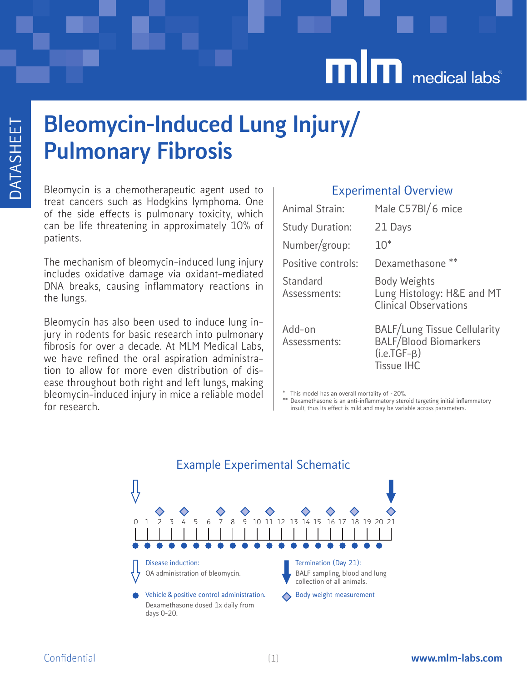# **min** medical labs<sup>®</sup>

## Bleomycin-Induced Lung Injury/ Pulmonary Fibrosis

Bleomycin is a chemotherapeutic agent used to treat cancers such as Hodgkins lymphoma. One of the side effects is pulmonary toxicity, which can be life threatening in approximately 10% of patients.

The mechanism of bleomycin-induced lung injury includes oxidative damage via oxidant-mediated DNA breaks, causing inflammatory reactions in the lungs.

Bleomycin has also been used to induce lung injury in rodents for basic research into pulmonary fibrosis for over a decade. At MLM Medical Labs, we have refined the oral aspiration administration to allow for more even distribution of disease throughout both right and left lungs, making bleomycin-induced injury in mice a reliable model for research.

#### Experimental Overview

| Animal Strain:           | Male C57BI/6 mice                                                                                         |
|--------------------------|-----------------------------------------------------------------------------------------------------------|
| <b>Study Duration:</b>   | 21 Days                                                                                                   |
| Number/group:            | $10*$                                                                                                     |
| Positive controls:       | Dexamethasone **                                                                                          |
| Standard<br>Assessments: | <b>Body Weights</b><br>Lung Histology: H&E and MT<br><b>Clinical Observations</b>                         |
| Add-on<br>Assessments:   | <b>BALF/Lung Tissue Cellularity</b><br><b>BALF/Blood Biomarkers</b><br>$(i.e.TGF-B)$<br><b>Tissue IHC</b> |

This model has an overall mortality of  $~20\%$ .

This the entired that the matri-inflammatory steroid targeting initial inflammatory insult, thus its effect is mild and may be variable across parameters.

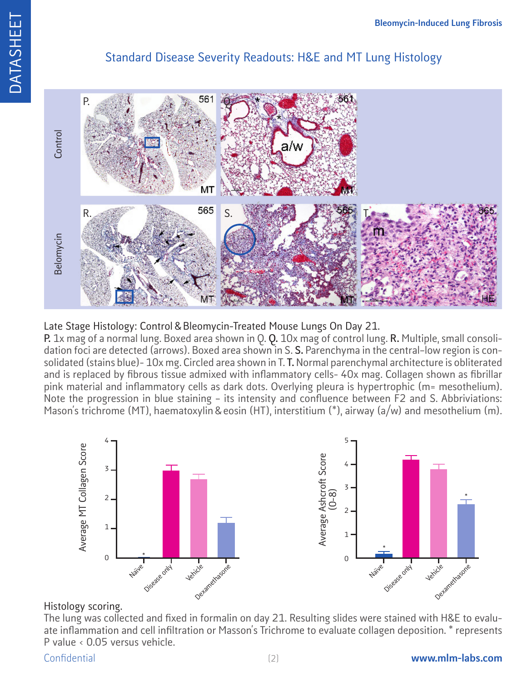### Standard Disease Severity Readouts: H&E and MT Lung Histology



#### Late Stage Histology: Control & Bleomycin-Treated Mouse Lungs On Day 21.

**P.** 1x mag of a normal lung. Boxed area shown in Q. **Q.** 10x mag of control lung. **R.** Multiple, small consolidation foci are detected (arrows). Boxed area shown in S. **S.** Parenchyma in the central–low region is consolidated (stains blue)- 10x mg. Circled area shown in T. **T.** Normal parenchymal architecture is obliterated and is replaced by fibrous tissue admixed with inflammatory cells- 40x mag. Collagen shown as fibrillar pink material and inflammatory cells as dark dots. Overlying pleura is hypertrophic (m= mesothelium). Note the progression in blue staining – its intensity and confluence between F2 and S. Abbriviations:



#### Histology scoring.

The lung was collected and fixed in formalin on day 21. Resulting slides were stained with H&E to evaluate inflammation and cell infiltration or Masson's Trichrome to evaluate collagen deposition. \* represents P value < 0.05 versus vehicle.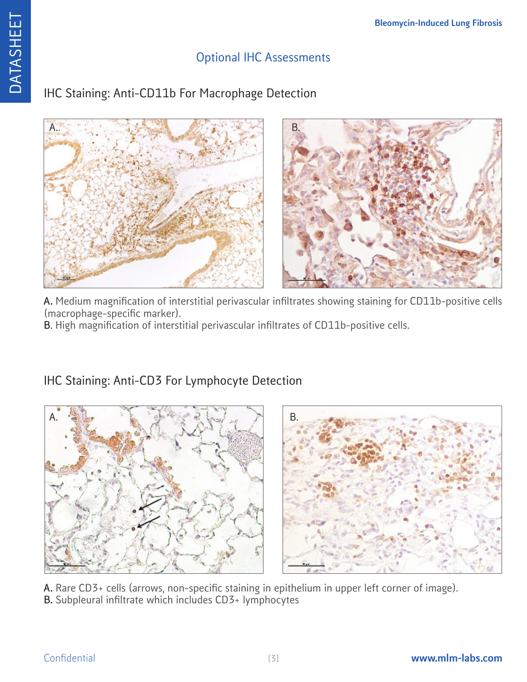#### Optional IHC Assessments

### IHC Staining: Anti-CD11b For Macrophage Detection





**A.** Medium magnification of interstitial perivascular infiltrates showing staining for CD11b-positive cells (macrophage-specific marker).

**B**. High magnification of interstitial perivascular infiltrates of CD11b-positive cells.



IHC Staining: Anti-CD3 For Lymphocyte Detection

**A.** Rare CD3+ cells (arrows, non-specific staining in epithelium in upper left corner of image). **B.** Subpleural infiltrate which includes CD3+ lymphocytes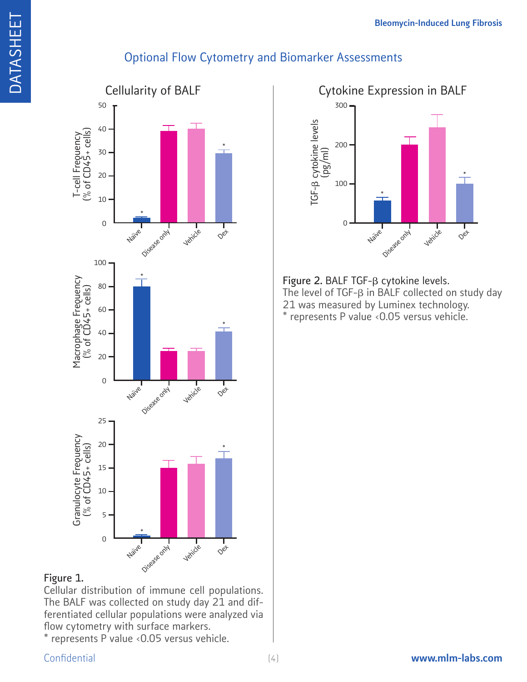### Optional Flow Cytometry and Biomarker Assessments



#### **Figure 1.**

DATASHEET

**DATASHEET** 

Cellular distribution of immune cell populations. The BALF was collected on study day 21 and differentiated cellular populations were analyzed via flow cytometry with surface markers.

\* represents P value <0.05 versus vehicle.

#### TGFb cytokine levels (pg/ml) 300 Naive Disease only Vehicle 200 100 \* \* 0  $Q$ et

Figure 2. BALF TGF- $\beta$  cytokine levels. The level of  $TGF-\beta$  in BALF collected on study day 21 was measured by Luminex technology. \* represents P value <0.05 versus vehicle.

[4]